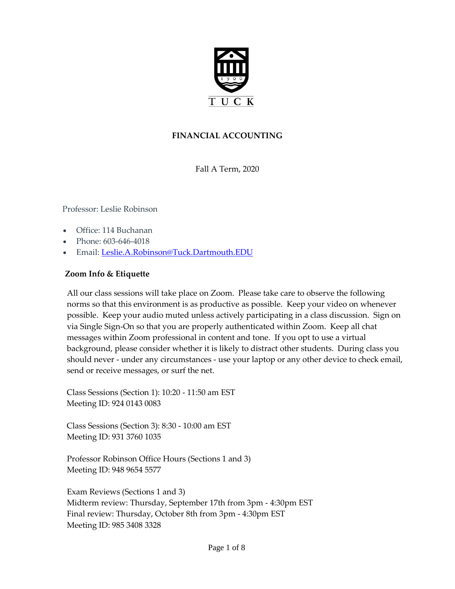

# **FINANCIAL ACCOUNTING**

Fall A Term, 2020

Professor: Leslie Robinson

- Office: 114 Buchanan
- Phone: 603-646-4018
- Email: [Leslie.A.Robinson@Tuck.Dartmouth.EDU](mailto:leslie.robinson@tuck.dartmouth.edu)

#### **Zoom Info & Etiquette**

All our class sessions will take place on Zoom. Please take care to observe the following norms so that this environment is as productive as possible. Keep your video on whenever possible. Keep your audio muted unless actively participating in a class discussion. Sign on via Single Sign-On so that you are properly authenticated within Zoom. Keep all chat messages within Zoom professional in content and tone. If you opt to use a virtual background, please consider whether it is likely to distract other students. During class you should never - under any circumstances - use your laptop or any other device to check email, send or receive messages, or surf the net.

Class Sessions (Section 1): 10:20 - 11:50 am EST Meeting ID: 924 0143 0083

Class Sessions (Section 3): 8:30 - 10:00 am EST Meeting ID: 931 3760 1035

Professor Robinson Office Hours (Sections 1 and 3) Meeting ID: 948 9654 5577

Exam Reviews (Sections 1 and 3) Midterm review: Thursday, September 17th from 3pm - 4:30pm EST Final review: Thursday, October 8th from 3pm - 4:30pm EST Meeting ID: 985 3408 3328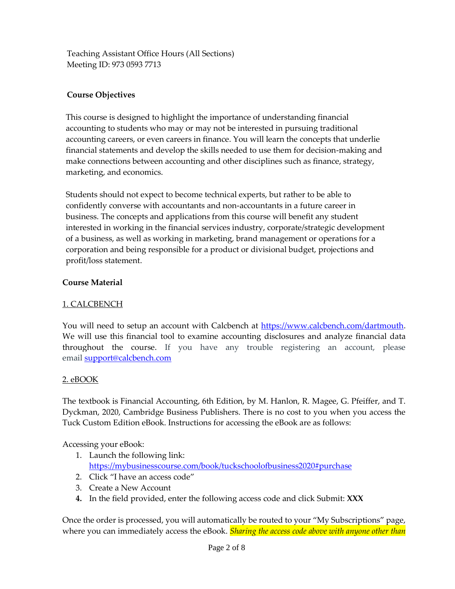Teaching Assistant Office Hours (All Sections) Meeting ID: 973 0593 7713

# **Course Objectives**

This course is designed to highlight the importance of understanding financial accounting to students who may or may not be interested in pursuing traditional accounting careers, or even careers in finance. You will learn the concepts that underlie financial statements and develop the skills needed to use them for decision-making and make connections between accounting and other disciplines such as finance, strategy, marketing, and economics.

Students should not expect to become technical experts, but rather to be able to confidently converse with accountants and non-accountants in a future career in business. The concepts and applications from this course will benefit any student interested in working in the financial services industry, corporate/strategic development of a business, as well as working in marketing, brand management or operations for a corporation and being responsible for a product or divisional budget, projections and profit/loss statement.

### **Course Material**

### 1. CALCBENCH

You will need to setup an account with Calcbench at [https://www.calcbench.com/dartmouth.](https://www.calcbench.com/dartmouth) We will use this financial tool to examine accounting disclosures and analyze financial data throughout the course. If you have any trouble registering an account, please email [support@calcbench.com](mailto:support@calcbench.com)

### 2. eBOOK

The textbook is Financial Accounting, 6th Edition, by M. Hanlon, R. Magee, G. Pfeiffer, and T. Dyckman, 2020, Cambridge Business Publishers. There is no cost to you when you access the Tuck Custom Edition eBook. Instructions for accessing the eBook are as follows:

Accessing your eBook:

- 1. Launch the following link: <https://mybusinesscourse.com/book/tuckschoolofbusiness2020#purchase>
- 2. Click "I have an access code"
- 3. Create a New Account
- **4.** In the field provided, enter the following access code and click Submit: **XXX**

Once the order is processed, you will automatically be routed to your "My Subscriptions" page, where you can immediately access the eBook. *Sharing the access code above with anyone other than*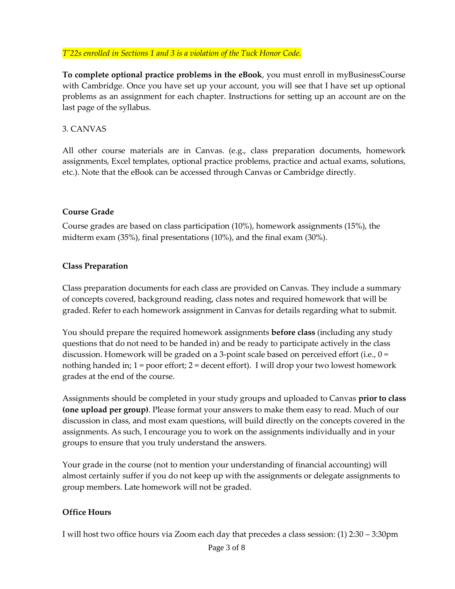*T'22s enrolled in Sections 1 and 3 is a violation of the Tuck Honor Code.*

**To complete optional practice problems in the eBook**, you must enroll in myBusinessCourse with Cambridge. Once you have set up your account, you will see that I have set up optional problems as an assignment for each chapter. Instructions for setting up an account are on the last page of the syllabus.

## 3. CANVAS

All other course materials are in Canvas. (e.g., class preparation documents, homework assignments, Excel templates, optional practice problems, practice and actual exams, solutions, etc.). Note that the eBook can be accessed through Canvas or Cambridge directly.

#### **Course Grade**

Course grades are based on class participation (10%), homework assignments (15%), the midterm exam (35%), final presentations (10%), and the final exam (30%).

### **Class Preparation**

Class preparation documents for each class are provided on Canvas. They include a summary of concepts covered, background reading, class notes and required homework that will be graded. Refer to each homework assignment in Canvas for details regarding what to submit.

You should prepare the required homework assignments **before class** (including any study questions that do not need to be handed in) and be ready to participate actively in the class discussion. Homework will be graded on a 3-point scale based on perceived effort (i.e., 0 = nothing handed in;  $1 =$  poor effort;  $2 =$  decent effort). I will drop your two lowest homework grades at the end of the course.

Assignments should be completed in your study groups and uploaded to Canvas **prior to class (one upload per group)**. Please format your answers to make them easy to read. Much of our discussion in class, and most exam questions, will build directly on the concepts covered in the assignments. As such, I encourage you to work on the assignments individually and in your groups to ensure that you truly understand the answers.

Your grade in the course (not to mention your understanding of financial accounting) will almost certainly suffer if you do not keep up with the assignments or delegate assignments to group members. Late homework will not be graded.

### **Office Hours**

I will host two office hours via Zoom each day that precedes a class session: (1) 2:30 – 3:30pm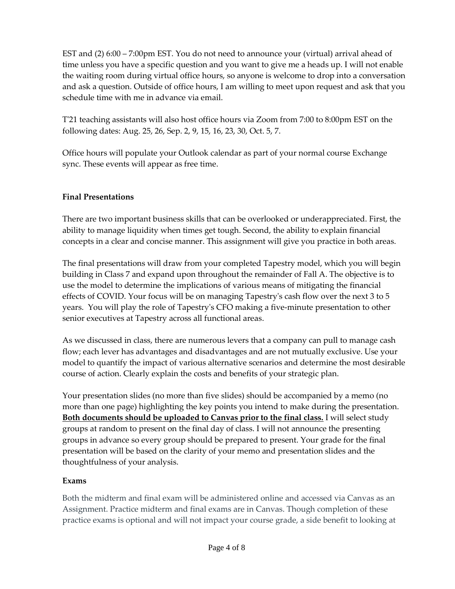EST and (2) 6:00 – 7:00pm EST. You do not need to announce your (virtual) arrival ahead of time unless you have a specific question and you want to give me a heads up. I will not enable the waiting room during virtual office hours, so anyone is welcome to drop into a conversation and ask a question. Outside of office hours, I am willing to meet upon request and ask that you schedule time with me in advance via email.

T'21 teaching assistants will also host office hours via Zoom from 7:00 to 8:00pm EST on the following dates: Aug. 25, 26, Sep. 2, 9, 15, 16, 23, 30, Oct. 5, 7.

Office hours will populate your Outlook calendar as part of your normal course Exchange sync. These events will appear as free time.

# **Final Presentations**

There are two important business skills that can be overlooked or underappreciated. First, the ability to manage liquidity when times get tough. Second, the ability to explain financial concepts in a clear and concise manner. This assignment will give you practice in both areas.

The final presentations will draw from your completed Tapestry model, which you will begin building in Class 7 and expand upon throughout the remainder of Fall A. The objective is to use the model to determine the implications of various means of mitigating the financial effects of COVID. Your focus will be on managing Tapestry's cash flow over the next 3 to 5 years. You will play the role of Tapestry's CFO making a five-minute presentation to other senior executives at Tapestry across all functional areas.

As we discussed in class, there are numerous levers that a company can pull to manage cash flow; each lever has advantages and disadvantages and are not mutually exclusive. Use your model to quantify the impact of various alternative scenarios and determine the most desirable course of action. Clearly explain the costs and benefits of your strategic plan.

Your presentation slides (no more than five slides) should be accompanied by a memo (no more than one page) highlighting the key points you intend to make during the presentation. **Both documents should be uploaded to Canvas prior to the final class.** I will select study groups at random to present on the final day of class. I will not announce the presenting groups in advance so every group should be prepared to present. Your grade for the final presentation will be based on the clarity of your memo and presentation slides and the thoughtfulness of your analysis.

# **Exams**

Both the midterm and final exam will be administered online and accessed via Canvas as an Assignment. Practice midterm and final exams are in Canvas. Though completion of these practice exams is optional and will not impact your course grade, a side benefit to looking at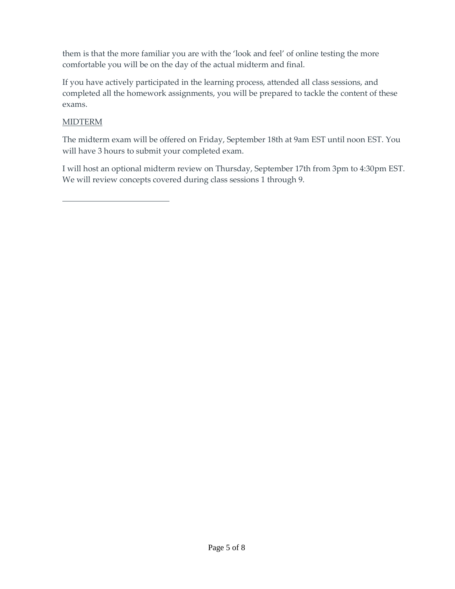them is that the more familiar you are with the 'look and feel' of online testing the more comfortable you will be on the day of the actual midterm and final.

If you have actively participated in the learning process, attended all class sessions, and completed all the homework assignments, you will be prepared to tackle the content of these exams.

# MIDTERM

The midterm exam will be offered on Friday, September 18th at 9am EST until noon EST. You will have 3 hours to submit your completed exam.

I will host an optional midterm review on Thursday, September 17th from 3pm to 4:30pm EST. We will review concepts covered during class sessions 1 through 9.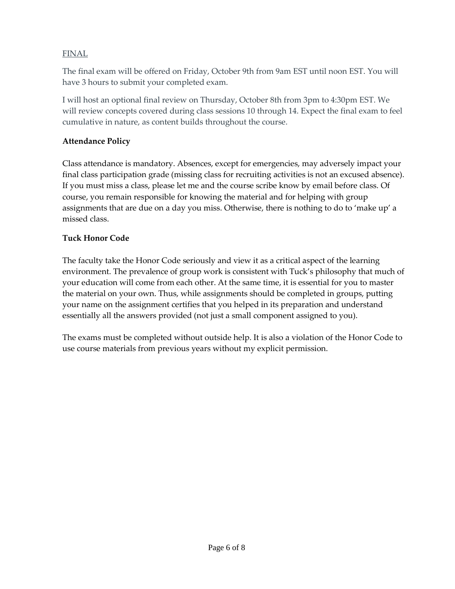## FINAL

The final exam will be offered on Friday, October 9th from 9am EST until noon EST. You will have 3 hours to submit your completed exam.

I will host an optional final review on Thursday, October 8th from 3pm to 4:30pm EST. We will review concepts covered during class sessions 10 through 14. Expect the final exam to feel cumulative in nature, as content builds throughout the course.

## **Attendance Policy**

Class attendance is mandatory. Absences, except for emergencies, may adversely impact your final class participation grade (missing class for recruiting activities is not an excused absence). If you must miss a class, please let me and the course scribe know by email before class. Of course, you remain responsible for knowing the material and for helping with group assignments that are due on a day you miss. Otherwise, there is nothing to do to 'make up' a missed class.

### **Tuck Honor Code**

The faculty take the Honor Code seriously and view it as a critical aspect of the learning environment. The prevalence of group work is consistent with Tuck's philosophy that much of your education will come from each other. At the same time, it is essential for you to master the material on your own. Thus, while assignments should be completed in groups, putting your name on the assignment certifies that you helped in its preparation and understand essentially all the answers provided (not just a small component assigned to you).

The exams must be completed without outside help. It is also a violation of the Honor Code to use course materials from previous years without my explicit permission.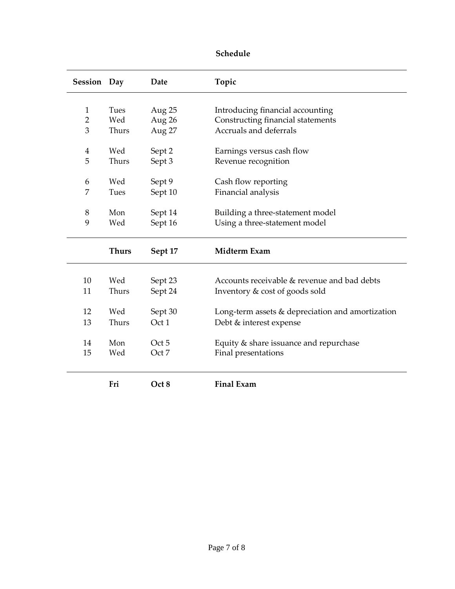| Session Day         |              | Date             | Topic                                                       |
|---------------------|--------------|------------------|-------------------------------------------------------------|
|                     |              |                  |                                                             |
| 1                   | Tues         | Aug 25           | Introducing financial accounting                            |
| $\overline{2}$<br>3 | Wed<br>Thurs | Aug 26           | Constructing financial statements<br>Accruals and deferrals |
|                     |              | Aug 27           |                                                             |
| 4                   | Wed          | Sept 2           | Earnings versus cash flow                                   |
| 5                   | Thurs        | Sept 3           | Revenue recognition                                         |
|                     |              |                  |                                                             |
| 6                   | Wed          | Sept 9           | Cash flow reporting                                         |
| 7                   | Tues         | Sept 10          | Financial analysis                                          |
|                     |              |                  |                                                             |
| 8                   | Mon          | Sept 14          | Building a three-statement model                            |
| 9                   | Wed          | Sept 16          | Using a three-statement model                               |
|                     |              |                  |                                                             |
|                     | <b>Thurs</b> | Sept 17          | Midterm Exam                                                |
|                     |              |                  |                                                             |
| 10                  | Wed          | Sept 23          | Accounts receivable & revenue and bad debts                 |
| 11                  | Thurs        | Sept 24          | Inventory & cost of goods sold                              |
|                     |              |                  |                                                             |
| 12                  | Wed          | Sept 30          | Long-term assets & depreciation and amortization            |
| 13                  | Thurs        | Oct 1            | Debt & interest expense                                     |
|                     |              |                  |                                                             |
| 14                  | Mon          | Oct <sub>5</sub> | Equity & share issuance and repurchase                      |
| 15                  | Wed          | Oct 7            | Final presentations                                         |
|                     |              |                  |                                                             |
|                     | Fri          | Oct 8            | <b>Final Exam</b>                                           |